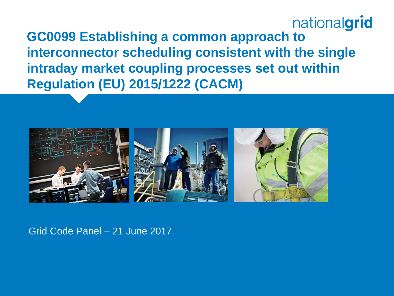#### nationalgrid **GC0099 Establishing a common approach to interconnector scheduling consistent with the single intraday market coupling processes set out within Regulation (EU) 2015/1222 (CACM)**



Grid Code Panel – 21 June 2017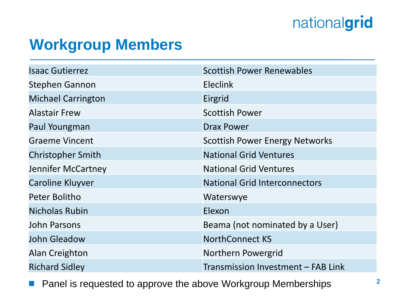# nationalgrid

### **Workgroup Members**

| <b>Isaac Gutierrez</b>    | <b>Scottish Power Renewables</b>      |
|---------------------------|---------------------------------------|
| Stephen Gannon            | <b>Eleclink</b>                       |
| <b>Michael Carrington</b> | Eirgrid                               |
| <b>Alastair Frew</b>      | <b>Scottish Power</b>                 |
| Paul Youngman             | <b>Drax Power</b>                     |
| <b>Graeme Vincent</b>     | <b>Scottish Power Energy Networks</b> |
| <b>Christopher Smith</b>  | <b>National Grid Ventures</b>         |
| Jennifer McCartney        | <b>National Grid Ventures</b>         |
| <b>Caroline Kluyver</b>   | <b>National Grid Interconnectors</b>  |
| Peter Bolitho             | Waterswye                             |
| <b>Nicholas Rubin</b>     | Elexon                                |
| John Parsons              | Beama (not nominated by a User)       |
| <b>John Gleadow</b>       | <b>NorthConnect KS</b>                |
| Alan Creighton            | Northern Powergrid                    |
| <b>Richard Sidley</b>     | Transmission Investment - FAB Link    |

**Panel is requested to approve the above Workgroup Memberships**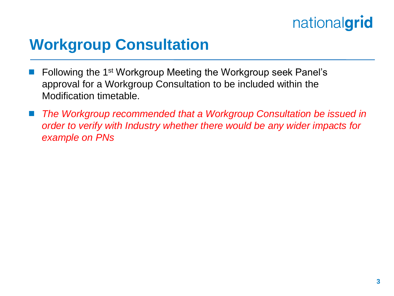# nationalgrid

### **Workgroup Consultation**

- Following the 1st Workgroup Meeting the Workgroup seek Panel's approval for a Workgroup Consultation to be included within the Modification timetable.
- The Workgroup recommended that a Workgroup Consultation be issued in *order to verify with Industry whether there would be any wider impacts for example on PNs*